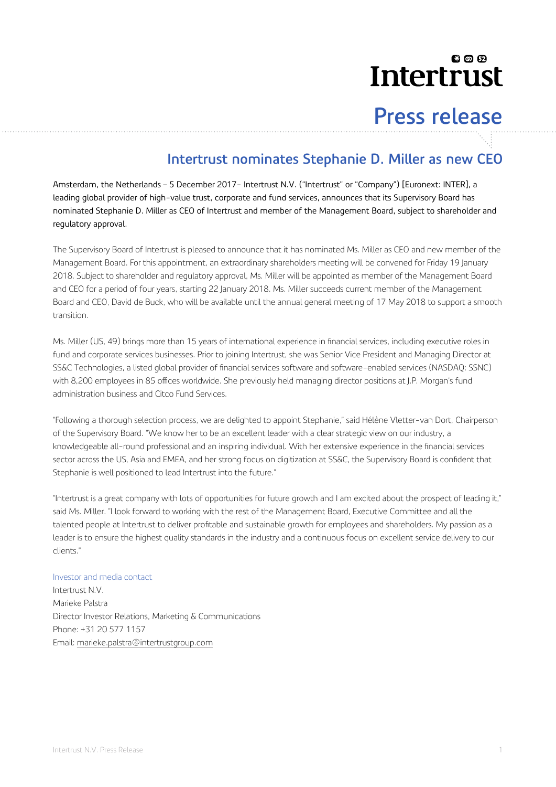## லை Intertrust

# **Press release**

### **Intertrust nominates Stephanie D. Miller as new CEO**

Amsterdam, the Netherlands – 5 December 2017- Intertrust N.V. ("Intertrust" or "Company") [Euronext: INTER], a leading global provider of high-value trust, corporate and fund services, announces that its Supervisory Board has nominated Stephanie D. Miller as CEO of Intertrust and member of the Management Board, subject to shareholder and regulatory approval.

The Supervisory Board of Intertrust is pleased to announce that it has nominated Ms. Miller as CEO and new member of the Management Board. For this appointment, an extraordinary shareholders meeting will be convened for Friday 19 January 2018. Subject to shareholder and regulatory approval, Ms. Miller will be appointed as member of the Management Board and CEO for a period of four years, starting 22 January 2018. Ms. Miller succeeds current member of the Management Board and CEO, David de Buck, who will be available until the annual general meeting of 17 May 2018 to support a smooth transition.

Ms. Miller (US, 49) brings more than 15 years of international experience in financial services, including executive roles in fund and corporate services businesses. Prior to joining Intertrust, she was Senior Vice President and Managing Director at SS&C Technologies, a listed global provider of financial services software and software-enabled services (NASDAQ: SSNC) with 8,200 employees in 85 offices worldwide. She previously held managing director positions at J.P. Morgan's fund administration business and Citco Fund Services.

"Following a thorough selection process, we are delighted to appoint Stephanie," said Hélène Vletter-van Dort, Chairperson of the Supervisory Board. "We know her to be an excellent leader with a clear strategic view on our industry, a knowledgeable all-round professional and an inspiring individual. With her extensive experience in the financial services sector across the US, Asia and EMEA, and her strong focus on digitization at SS&C, the Supervisory Board is confident that Stephanie is well positioned to lead Intertrust into the future."

"Intertrust is a great company with lots of opportunities for future growth and I am excited about the prospect of leading it," said Ms. Miller. "I look forward to working with the rest of the Management Board, Executive Committee and all the talented people at Intertrust to deliver profitable and sustainable growth for employees and shareholders. My passion as a leader is to ensure the highest quality standards in the industry and a continuous focus on excellent service delivery to our clients."

#### Investor and media contact

Intertrust N.V. Marieke Palstra Director Investor Relations, Marketing & Communications Phone: +31 20 577 1157 Email: [marieke.palstra@intertrustgroup.com](mailto:marieke.palstra@intertrustgroup.com)